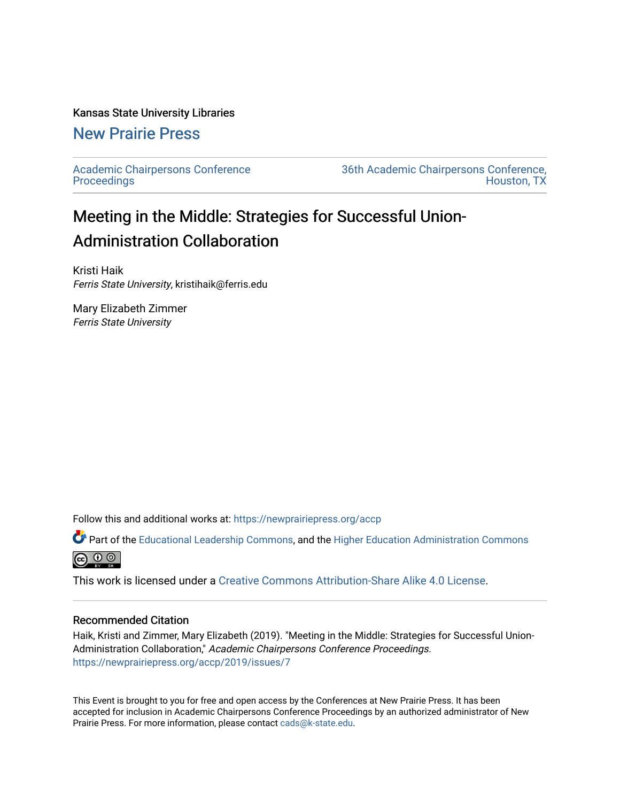#### Kansas State University Libraries

# [New Prairie Press](https://newprairiepress.org/)

[Academic Chairpersons Conference](https://newprairiepress.org/accp)  **Proceedings** 

[36th Academic Chairpersons Conference,](https://newprairiepress.org/accp/2019)  [Houston, TX](https://newprairiepress.org/accp/2019) 

# Meeting in the Middle: Strategies for Successful Union-Administration Collaboration

Kristi Haik Ferris State University, kristihaik@ferris.edu

Mary Elizabeth Zimmer Ferris State University

Follow this and additional works at: [https://newprairiepress.org/accp](https://newprairiepress.org/accp?utm_source=newprairiepress.org%2Faccp%2F2019%2Fissues%2F7&utm_medium=PDF&utm_campaign=PDFCoverPages) 

Part of the [Educational Leadership Commons,](http://network.bepress.com/hgg/discipline/1230?utm_source=newprairiepress.org%2Faccp%2F2019%2Fissues%2F7&utm_medium=PDF&utm_campaign=PDFCoverPages) and the [Higher Education Administration Commons](http://network.bepress.com/hgg/discipline/791?utm_source=newprairiepress.org%2Faccp%2F2019%2Fissues%2F7&utm_medium=PDF&utm_campaign=PDFCoverPages) **@** ⊙ ⊚

This work is licensed under a [Creative Commons Attribution-Share Alike 4.0 License.](https://creativecommons.org/licenses/by-sa/4.0/)

#### Recommended Citation

Haik, Kristi and Zimmer, Mary Elizabeth (2019). "Meeting in the Middle: Strategies for Successful Union-Administration Collaboration," Academic Chairpersons Conference Proceedings. <https://newprairiepress.org/accp/2019/issues/7>

This Event is brought to you for free and open access by the Conferences at New Prairie Press. It has been accepted for inclusion in Academic Chairpersons Conference Proceedings by an authorized administrator of New Prairie Press. For more information, please contact [cads@k-state.edu.](mailto:cads@k-state.edu)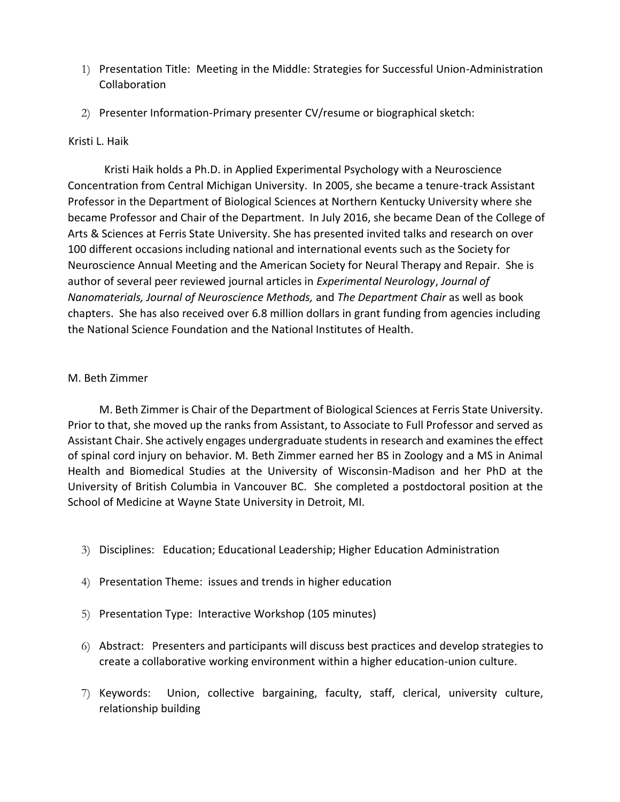- 1) Presentation Title: Meeting in the Middle: Strategies for Successful Union-Administration Collaboration
- 2) Presenter Information-Primary presenter CV/resume or biographical sketch:

### Kristi L. Haik

Kristi Haik holds a Ph.D. in Applied Experimental Psychology with a Neuroscience Concentration from Central Michigan University. In 2005, she became a tenure-track Assistant Professor in the Department of Biological Sciences at Northern Kentucky University where she became Professor and Chair of the Department. In July 2016, she became Dean of the College of Arts & Sciences at Ferris State University. She has presented invited talks and research on over 100 different occasions including national and international events such as the Society for Neuroscience Annual Meeting and the American Society for Neural Therapy and Repair. She is author of several peer reviewed journal articles in *Experimental Neurology*, *Journal of Nanomaterials, Journal of Neuroscience Methods,* and *The Department Chair* as well as book chapters. She has also received over 6.8 million dollars in grant funding from agencies including the National Science Foundation and the National Institutes of Health.

## M. Beth Zimmer

M. Beth Zimmer is Chair of the Department of Biological Sciences at Ferris State University. Prior to that, she moved up the ranks from Assistant, to Associate to Full Professor and served as Assistant Chair. She actively engages undergraduate students in research and examines the effect of spinal cord injury on behavior. M. Beth Zimmer earned her BS in Zoology and a MS in Animal Health and Biomedical Studies at the University of Wisconsin-Madison and her PhD at the University of British Columbia in Vancouver BC. She completed a postdoctoral position at the School of Medicine at Wayne State University in Detroit, MI.

- 3) Disciplines: Education; Educational Leadership; Higher Education Administration
- 4) Presentation Theme: issues and trends in higher education
- 5) Presentation Type: Interactive Workshop (105 minutes)
- 6) Abstract: Presenters and participants will discuss best practices and develop strategies to create a collaborative working environment within a higher education-union culture.
- 7) Keywords: Union, collective bargaining, faculty, staff, clerical, university culture, relationship building